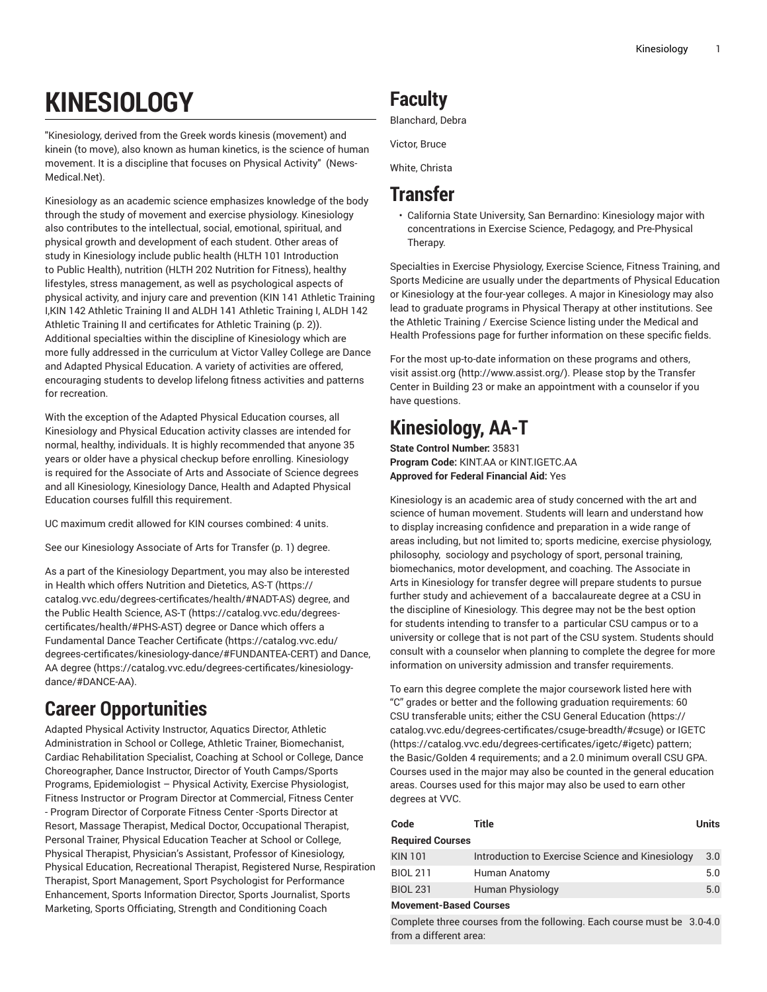# **KINESIOLOGY**

"Kinesiology, derived from the Greek words kinesis (movement) and kinein (to move), also known as human kinetics, is the science of human movement. It is a discipline that focuses on Physical Activity" (News-Medical.Net).

Kinesiology as an academic science emphasizes knowledge of the body through the study of movement and exercise physiology. Kinesiology also contributes to the intellectual, social, emotional, spiritual, and physical growth and development of each student. Other areas of study in Kinesiology include public health (HLTH 101 Introduction to Public Health), nutrition (HLTH 202 Nutrition for Fitness), healthy lifestyles, stress management, as well as psychological aspects of physical activity, and injury care and prevention (KIN 141 Athletic Training I,KIN 142 Athletic Training II and ALDH 141 Athletic Training I, ALDH 142 Athletic Training II and certificates for Athletic [Training](#page-1-0) ([p. 2\)](#page-1-0)). Additional specialties within the discipline of Kinesiology which are more fully addressed in the curriculum at Victor Valley College are Dance and Adapted Physical Education. A variety of activities are offered, encouraging students to develop lifelong fitness activities and patterns for recreation.

With the exception of the Adapted Physical Education courses, all Kinesiology and Physical Education activity classes are intended for normal, healthy, individuals. It is highly recommended that anyone 35 years or older have a physical checkup before enrolling. Kinesiology is required for the Associate of Arts and Associate of Science degrees and all Kinesiology, Kinesiology Dance, Health and Adapted Physical Education courses fulfill this requirement.

UC maximum credit allowed for KIN courses combined: 4 units.

See our [Kinesiology](#page-0-0) Associate of Arts for Transfer [\(p. 1\)](#page-0-0) degree.

As a part of the Kinesiology Department, you may also be interested in Health which offers [Nutrition and Dietetics, AS-T](https://catalog.vvc.edu/degrees-certificates/health/#NADT-AS) ([https://](https://catalog.vvc.edu/degrees-certificates/health/#NADT-AS) [catalog.vvc.edu/degrees-certificates/health/#NADT-AS](https://catalog.vvc.edu/degrees-certificates/health/#NADT-AS)) degree, and the [Public Health Science, AS-T \(https://catalog.vvc.edu/degrees](https://catalog.vvc.edu/degrees-certificates/health/#PHS-AST)[certificates/health/#PHS-AST](https://catalog.vvc.edu/degrees-certificates/health/#PHS-AST)) degree or Dance which offers a [Fundamental](https://catalog.vvc.edu/degrees-certificates/kinesiology-dance/#FUNDANTEA-CERT) Dance Teacher Certificate [\(https://catalog.vvc.edu/](https://catalog.vvc.edu/degrees-certificates/kinesiology-dance/#FUNDANTEA-CERT) [degrees-certificates/kinesiology-dance/#FUNDANTEA-CERT](https://catalog.vvc.edu/degrees-certificates/kinesiology-dance/#FUNDANTEA-CERT)) and [Dance,](https://catalog.vvc.edu/degrees-certificates/kinesiology-dance/#DANCE-AA) AA [degree \(https://catalog.vvc.edu/degrees-certificates/kinesiology](https://catalog.vvc.edu/degrees-certificates/kinesiology-dance/#DANCE-AA)[dance/#DANCE-AA\)](https://catalog.vvc.edu/degrees-certificates/kinesiology-dance/#DANCE-AA).

# **Career Opportunities**

Adapted Physical Activity Instructor, Aquatics Director, Athletic Administration in School or College, Athletic Trainer, Biomechanist, Cardiac Rehabilitation Specialist, Coaching at School or College, Dance Choreographer, Dance Instructor, Director of Youth Camps/Sports Programs, Epidemiologist – Physical Activity, Exercise Physiologist, Fitness Instructor or Program Director at Commercial, Fitness Center - Program Director of Corporate Fitness Center -Sports Director at Resort, Massage Therapist, Medical Doctor, Occupational Therapist, Personal Trainer, Physical Education Teacher at School or College, Physical Therapist, Physician's Assistant, Professor of Kinesiology, Physical Education, Recreational Therapist, Registered Nurse, Respiration Therapist, Sport Management, Sport Psychologist for Performance Enhancement, Sports Information Director, Sports Journalist, Sports Marketing, Sports Officiating, Strength and Conditioning Coach

# **Faculty**

Blanchard, Debra

Victor, Bruce

White, Christa

# **Transfer**

• California State University, San Bernardino: Kinesiology major with concentrations in Exercise Science, Pedagogy, and Pre-Physical Therapy.

Specialties in Exercise Physiology, Exercise Science, Fitness Training, and Sports Medicine are usually under the departments of Physical Education or Kinesiology at the four-year colleges. A major in Kinesiology may also lead to graduate programs in Physical Therapy at other institutions. See the Athletic Training / Exercise Science listing under the Medical and Health Professions page for further information on these specific fields.

For the most up-to-date information on these programs and others, visit [assist.org](http://www.assist.org/) ([http://www.assist.org/\)](http://www.assist.org/). Please stop by the Transfer Center in Building 23 or make an appointment with a counselor if you have questions.

# <span id="page-0-0"></span>**Kinesiology, AA-T**

**State Control Number:** 35831 **Program Code:** KINT.AA or KINT.IGETC.AA **Approved for Federal Financial Aid:** Yes

Kinesiology is an academic area of study concerned with the art and science of human movement. Students will learn and understand how to display increasing confidence and preparation in a wide range of areas including, but not limited to; sports medicine, exercise physiology, philosophy, sociology and psychology of sport, personal training, biomechanics, motor development, and coaching. The Associate in Arts in Kinesiology for transfer degree will prepare students to pursue further study and achievement of a baccalaureate degree at a CSU in the discipline of Kinesiology. This degree may not be the best option for students intending to transfer to a particular CSU campus or to a university or college that is not part of the CSU system. Students should consult with a counselor when planning to complete the degree for more information on university admission and transfer requirements.

To earn this degree complete the major coursework listed here with "C" grades or better and the following graduation requirements: 60 CSU transferable units; either the CSU General [Education](https://catalog.vvc.edu/degrees-certificates/csuge-breadth/#csuge) [\(https://](https://catalog.vvc.edu/degrees-certificates/csuge-breadth/#csuge) [catalog.vvc.edu/degrees-certificates/csuge-breadth/#csuge](https://catalog.vvc.edu/degrees-certificates/csuge-breadth/#csuge)) or [IGETC](https://catalog.vvc.edu/degrees-certificates/igetc/#igetc) [\(https://catalog.vvc.edu/degrees-certificates/igetc/#igetc\)](https://catalog.vvc.edu/degrees-certificates/igetc/#igetc) pattern; the Basic/Golden 4 requirements; and a 2.0 minimum overall CSU GPA. Courses used in the major may also be counted in the general education areas. Courses used for this major may also be used to earn other degrees at VVC.

| Code                          | Title                                            | <b>Units</b> |  |  |  |  |
|-------------------------------|--------------------------------------------------|--------------|--|--|--|--|
| <b>Required Courses</b>       |                                                  |              |  |  |  |  |
| <b>KIN 101</b>                | Introduction to Exercise Science and Kinesiology | 3.0          |  |  |  |  |
| <b>BIOL 211</b>               | Human Anatomy                                    | 5.0          |  |  |  |  |
| <b>BIOL 231</b>               | Human Physiology                                 | 5.0          |  |  |  |  |
| <b>Movement-Based Courses</b> |                                                  |              |  |  |  |  |

Complete three courses from the following. Each course must be 3.0-4.0from a different area: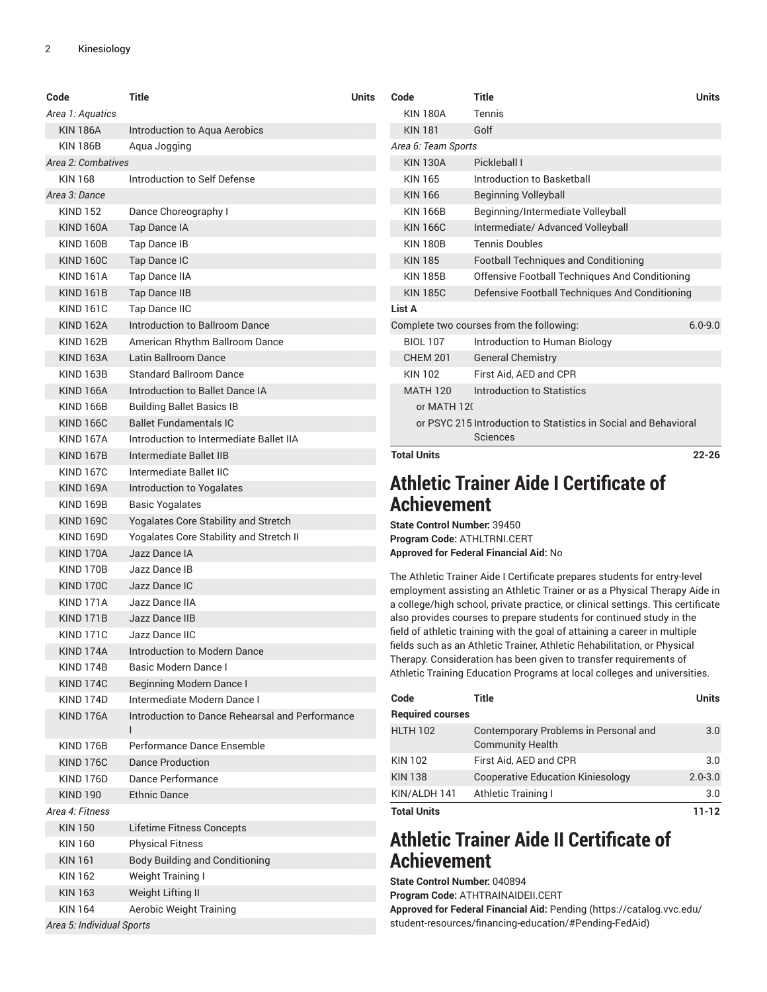<span id="page-1-0"></span>

| Code                                           | Title                                           | <b>Units</b> | Code                               | <b>Title</b>                                                                                                                                           | Units        |
|------------------------------------------------|-------------------------------------------------|--------------|------------------------------------|--------------------------------------------------------------------------------------------------------------------------------------------------------|--------------|
| Area 1: Aquatics                               |                                                 |              | <b>KIN 180A</b>                    | Tennis                                                                                                                                                 |              |
| <b>KIN 186A</b>                                | Introduction to Aqua Aerobics                   |              | <b>KIN 181</b>                     | Golf                                                                                                                                                   |              |
| <b>KIN 186B</b>                                | Aqua Jogging                                    |              | Area 6: Team Sports                |                                                                                                                                                        |              |
| Area 2: Combatives                             |                                                 |              | <b>KIN 130A</b>                    | Pickleball I                                                                                                                                           |              |
| <b>KIN 168</b><br>Introduction to Self Defense |                                                 |              | <b>KIN 165</b>                     | Introduction to Basketball                                                                                                                             |              |
| Area 3: Dance                                  |                                                 |              | <b>KIN 166</b>                     | <b>Beginning Volleyball</b>                                                                                                                            |              |
| <b>KIND 152</b>                                | Dance Choreography I                            |              | <b>KIN 166B</b>                    | Beginning/Intermediate Volleyball                                                                                                                      |              |
| <b>KIND 160A</b>                               | Tap Dance IA                                    |              | <b>KIN 166C</b>                    | Intermediate/ Advanced Volleyball                                                                                                                      |              |
| <b>KIND 160B</b>                               | Tap Dance IB                                    |              | <b>KIN 180B</b>                    | <b>Tennis Doubles</b>                                                                                                                                  |              |
| <b>KIND 160C</b>                               | Tap Dance IC                                    |              | <b>KIN 185</b>                     | Football Techniques and Conditioning                                                                                                                   |              |
| <b>KIND 161A</b>                               | Tap Dance IIA                                   |              | <b>KIN 185B</b>                    | Offensive Football Techniques And Conditioning                                                                                                         |              |
| <b>KIND 161B</b>                               | Tap Dance IIB                                   |              | <b>KIN 185C</b>                    | Defensive Football Techniques And Conditioning                                                                                                         |              |
| <b>KIND 161C</b>                               | Tap Dance IIC                                   |              | List A                             |                                                                                                                                                        |              |
| <b>KIND 162A</b>                               | Introduction to Ballroom Dance                  |              |                                    | Complete two courses from the following:                                                                                                               | $6.0 - 9.0$  |
| <b>KIND 162B</b>                               | American Rhythm Ballroom Dance                  |              | <b>BIOL 107</b>                    | Introduction to Human Biology                                                                                                                          |              |
| KIND 163A                                      | Latin Ballroom Dance                            |              | <b>CHEM 201</b>                    | <b>General Chemistry</b>                                                                                                                               |              |
| <b>KIND 163B</b>                               | <b>Standard Ballroom Dance</b>                  |              | <b>KIN 102</b>                     | First Aid, AED and CPR                                                                                                                                 |              |
| <b>KIND 166A</b>                               | Introduction to Ballet Dance IA                 |              | <b>MATH 120</b>                    | Introduction to Statistics                                                                                                                             |              |
| <b>KIND 166B</b>                               | <b>Building Ballet Basics IB</b>                |              | or MATH 120                        |                                                                                                                                                        |              |
| <b>KIND 166C</b>                               | <b>Ballet Fundamentals IC</b>                   |              |                                    | or PSYC 215 Introduction to Statistics in Social and Behavioral                                                                                        |              |
| <b>KIND 167A</b>                               | Introduction to Intermediate Ballet IIA         |              |                                    | Sciences                                                                                                                                               |              |
| KIND 167B                                      | Intermediate Ballet IIB                         |              | <b>Total Units</b>                 |                                                                                                                                                        | $22 - 26$    |
| <b>KIND 167C</b>                               | Intermediate Ballet IIC                         |              |                                    |                                                                                                                                                        |              |
| <b>KIND 169A</b>                               | Introduction to Yogalates                       |              |                                    | <b>Athletic Trainer Aide I Certificate of</b>                                                                                                          |              |
| <b>KIND 169B</b>                               | <b>Basic Yogalates</b>                          |              | <b>Achievement</b>                 |                                                                                                                                                        |              |
| <b>KIND 169C</b>                               | Yogalates Core Stability and Stretch            |              | <b>State Control Number: 39450</b> |                                                                                                                                                        |              |
| <b>KIND 169D</b>                               | Yogalates Core Stability and Stretch II         |              | Program Code: ATHLTRNI.CERT        |                                                                                                                                                        |              |
| KIND 170A                                      | Jazz Dance IA                                   |              |                                    | <b>Approved for Federal Financial Aid: No</b>                                                                                                          |              |
| <b>KIND 170B</b>                               | Jazz Dance IB                                   |              |                                    |                                                                                                                                                        |              |
| <b>KIND 170C</b>                               | Jazz Dance IC                                   |              |                                    | The Athletic Trainer Aide I Certificate prepares students for entry-level<br>employment assisting an Athletic Trainer or as a Physical Therapy Aide in |              |
| <b>KIND 171A</b>                               | Jazz Dance IIA                                  |              |                                    | a college/high school, private practice, or clinical settings. This certificate                                                                        |              |
| KIND 171B                                      | Jazz Dance IIB                                  |              |                                    | also provides courses to prepare students for continued study in the                                                                                   |              |
| <b>KIND 171C</b>                               | Jazz Dance IIC                                  |              |                                    | field of athletic training with the goal of attaining a career in multiple                                                                             |              |
| KIND 174A                                      | Introduction to Modern Dance                    |              |                                    | fields such as an Athletic Trainer, Athletic Rehabilitation, or Physical                                                                               |              |
| <b>KIND 174B</b>                               | Basic Modern Dance I                            |              |                                    | Therapy. Consideration has been given to transfer requirements of                                                                                      |              |
| <b>KIND 174C</b>                               | <b>Beginning Modern Dance I</b>                 |              |                                    | Athletic Training Education Programs at local colleges and universities.                                                                               |              |
| KIND 174D                                      | Intermediate Modern Dance I                     |              | Code                               | <b>Title</b>                                                                                                                                           | <b>Units</b> |
| KIND 176A                                      | Introduction to Dance Rehearsal and Performance |              | <b>Required courses</b>            |                                                                                                                                                        |              |
|                                                | $\mathbf{I}$                                    |              | <b>HLTH 102</b>                    | Contemporary Problems in Personal and                                                                                                                  | 3.0          |
| <b>KIND 176B</b>                               | Performance Dance Ensemble                      |              |                                    | <b>Community Health</b>                                                                                                                                |              |
| KIND 176C                                      | Dance Production                                |              | <b>KIN 102</b>                     | First Aid, AED and CPR                                                                                                                                 | 3.0          |
| <b>KIND 176D</b>                               | Dance Performance                               |              | <b>KIN 138</b>                     | <b>Cooperative Education Kiniesology</b>                                                                                                               | $2.0 - 3.0$  |
| <b>KIND 190</b>                                | <b>Ethnic Dance</b>                             |              | KIN/ALDH 141                       | Athletic Training I                                                                                                                                    | 3.0          |
| Area 4: Fitness                                |                                                 |              | <b>Total Units</b>                 |                                                                                                                                                        | $11 - 12$    |
| <b>KIN 150</b>                                 | Lifetime Fitness Concepts                       |              |                                    |                                                                                                                                                        |              |
| <b>KIN 160</b>                                 | <b>Physical Fitness</b>                         |              |                                    | <b>Athletic Trainer Aide II Certificate of</b>                                                                                                         |              |
| <b>KIN 161</b>                                 | <b>Body Building and Conditioning</b>           |              | <b>Achievement</b>                 |                                                                                                                                                        |              |
| <b>KIN 162</b>                                 | Weight Training I                               |              | State Control Number: 040894       |                                                                                                                                                        |              |
| <b>KIN 163</b>                                 | Weight Lifting II                               |              |                                    | Program Code: ATHTRAINAIDEII.CERT                                                                                                                      |              |
| <b>KIN 164</b>                                 | <b>Aerobic Weight Training</b>                  |              |                                    | Approved for Federal Financial Aid: Pending (https://catalog.vvc.edu/                                                                                  |              |
| Area 5: Individual Sports                      |                                                 |              |                                    | student-resources/financing-education/#Pending-FedAid)                                                                                                 |              |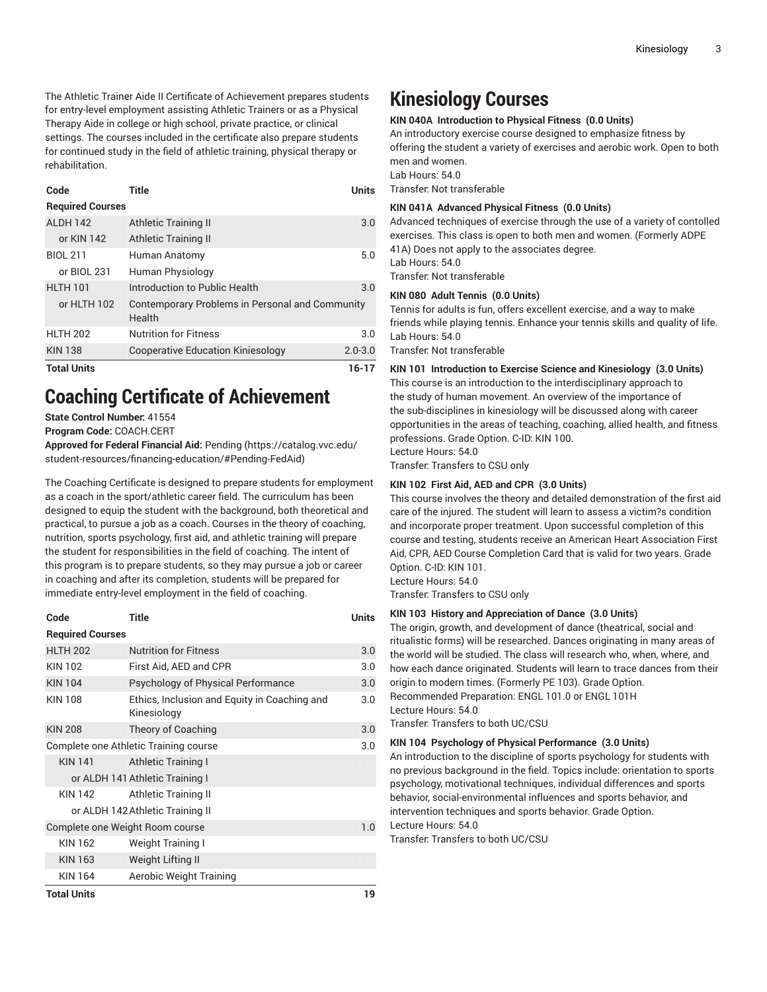The Athletic Trainer Aide II Certificate of Achievement prepares students for entry-level employment assisting Athletic Trainers or as a Physical Therapy Aide in college or high school, private practice, or clinical settings. The courses included in the certificate also prepare students for continued study in the field of athletic training, physical therapy or rehabilitation.

| Code                    | Title                                                     | Units       |
|-------------------------|-----------------------------------------------------------|-------------|
| <b>Required Courses</b> |                                                           |             |
| AI DH 142               | Athletic Training II                                      | 3.0         |
| or KIN 142              | Athletic Training II                                      |             |
| <b>BIOL 211</b>         | Human Anatomy                                             | 5.0         |
| or BIOL 231             | Human Physiology                                          |             |
| <b>HLTH 101</b>         | Introduction to Public Health                             | 3.0         |
| or HLTH 102             | Contemporary Problems in Personal and Community<br>Health |             |
| <b>HLTH 202</b>         | <b>Nutrition for Fitness</b>                              | 3.0         |
| <b>KIN 138</b>          | <b>Cooperative Education Kiniesology</b>                  | $2.0 - 3.0$ |
| <b>Total Units</b>      |                                                           | 16-17       |

# **Coaching Certificate of Achievement**

**State Control Number:** 41554

**Program Code:** COACH.CERT

**Approved for Federal Financial Aid:** [Pending](https://catalog.vvc.edu/student-resources/financing-education/#Pending-FedAid) ([https://catalog.vvc.edu/](https://catalog.vvc.edu/student-resources/financing-education/#Pending-FedAid) [student-resources/financing-education/#Pending-FedAid\)](https://catalog.vvc.edu/student-resources/financing-education/#Pending-FedAid)

The Coaching Certificate is designed to prepare students for employment as a coach in the sport/athletic career field. The curriculum has been designed to equip the student with the background, both theoretical and practical, to pursue a job as a coach. Courses in the theory of coaching, nutrition, sports psychology, first aid, and athletic training will prepare the student for responsibilities in the field of coaching. The intent of this program is to prepare students, so they may pursue a job or career in coaching and after its completion, students will be prepared for immediate entry-level employment in the field of coaching.

| Code                                  | Title                                                       | Units |  |  |
|---------------------------------------|-------------------------------------------------------------|-------|--|--|
| <b>Required Courses</b>               |                                                             |       |  |  |
| <b>HLTH 202</b>                       | <b>Nutrition for Fitness</b>                                | 3.0   |  |  |
| <b>KIN 102</b>                        | First Aid, AED and CPR                                      | 3.0   |  |  |
| <b>KIN 104</b>                        | Psychology of Physical Performance                          | 3.0   |  |  |
| <b>KIN 108</b>                        | Ethics, Inclusion and Equity in Coaching and<br>Kinesiology | 3.0   |  |  |
| <b>KIN 208</b>                        | Theory of Coaching                                          | 3.0   |  |  |
| Complete one Athletic Training course |                                                             |       |  |  |
| <b>KIN 141</b>                        | Athletic Training I                                         |       |  |  |
| or ALDH 141 Athletic Training I       |                                                             |       |  |  |
| KIN 142                               | Athletic Training II                                        |       |  |  |
| or ALDH 142 Athletic Training II      |                                                             |       |  |  |
| Complete one Weight Room course       |                                                             |       |  |  |
| KIN 162                               | Weight Training I                                           |       |  |  |
| KIN 163                               | Weight Lifting II                                           |       |  |  |
| KIN 164                               | Aerobic Weight Training                                     |       |  |  |
| <b>Total Units</b>                    |                                                             |       |  |  |

# **Kinesiology Courses**

#### **KIN 040A Introduction to Physical Fitness (0.0 Units)**

An introductory exercise course designed to emphasize fitness by offering the student a variety of exercises and aerobic work. Open to both men and women. Lab Hours: 54.0

Transfer: Not transferable

#### **KIN 041A Advanced Physical Fitness (0.0 Units)**

Advanced techniques of exercise through the use of a variety of contolled exercises. This class is open to both men and women. (Formerly ADPE 41A) Does not apply to the associates degree. Lab Hours: 54.0

Transfer: Not transferable

#### **KIN 080 Adult Tennis (0.0 Units)**

Tennis for adults is fun, offers excellent exercise, and a way to make friends while playing tennis. Enhance your tennis skills and quality of life. Lab Hours: 54.0

Transfer: Not transferable

#### **KIN 101 Introduction to Exercise Science and Kinesiology (3.0 Units)**

This course is an introduction to the interdisciplinary approach to the study of human movement. An overview of the importance of the sub-disciplines in kinesiology will be discussed along with career opportunities in the areas of teaching, coaching, allied health, and fitness professions. Grade Option. C-ID: KIN 100. Lecture Hours: 54.0

Transfer: Transfers to CSU only

#### **KIN 102 First Aid, AED and CPR (3.0 Units)**

This course involves the theory and detailed demonstration of the first aid care of the injured. The student will learn to assess a victim?s condition and incorporate proper treatment. Upon successful completion of this course and testing, students receive an American Heart Association First Aid, CPR, AED Course Completion Card that is valid for two years. Grade Option. C-ID: KIN 101.

Lecture Hours: 54.0

Transfer: Transfers to CSU only

# **KIN 103 History and Appreciation of Dance (3.0 Units)**

The origin, growth, and development of dance (theatrical, social and ritualistic forms) will be researched. Dances originating in many areas of the world will be studied. The class will research who, when, where, and how each dance originated. Students will learn to trace dances from their origin to modern times. (Formerly PE 103). Grade Option. Recommended Preparation: ENGL 101.0 or ENGL 101H Lecture Hours: 54.0

Transfer: Transfers to both UC/CSU

#### **KIN 104 Psychology of Physical Performance (3.0 Units)**

An introduction to the discipline of sports psychology for students with no previous background in the field. Topics include: orientation to sports psychology, motivational techniques, individual differences and sports behavior, social-environmental influences and sports behavior, and intervention techniques and sports behavior. Grade Option. Lecture Hours: 54.0

Transfer: Transfers to both UC/CSU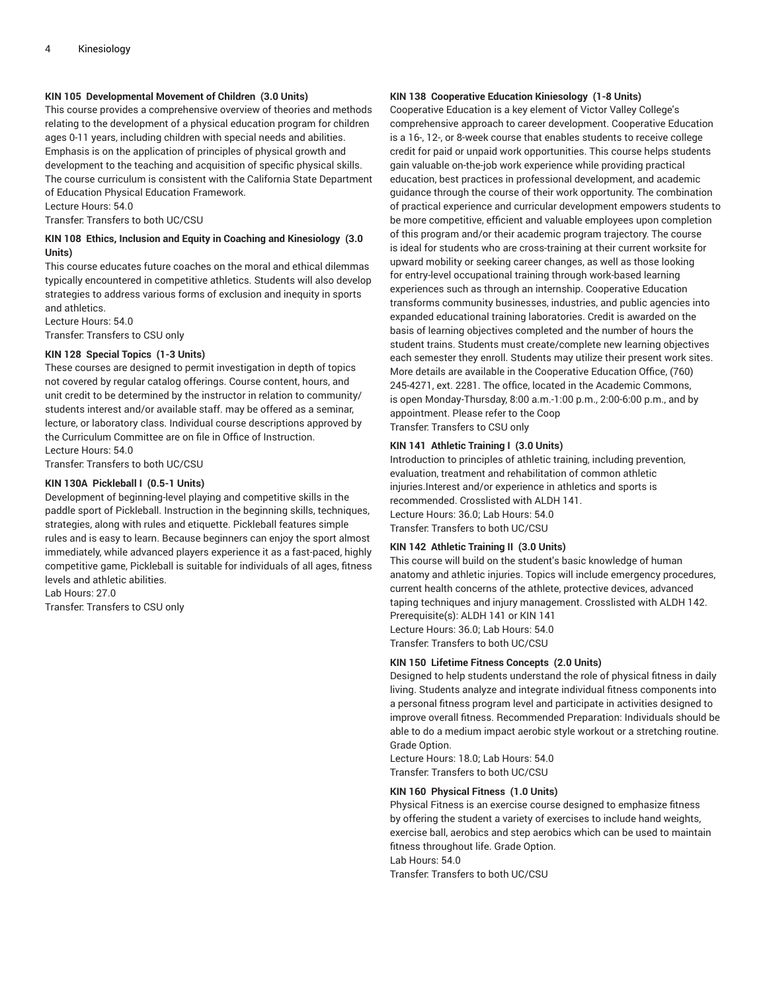# **KIN 105 Developmental Movement of Children (3.0 Units)**

This course provides a comprehensive overview of theories and methods relating to the development of a physical education program for children ages 0-11 years, including children with special needs and abilities. Emphasis is on the application of principles of physical growth and development to the teaching and acquisition of specific physical skills. The course curriculum is consistent with the California State Department of Education Physical Education Framework.

Lecture Hours: 54.0

Transfer: Transfers to both UC/CSU

# **KIN 108 Ethics, Inclusion and Equity in Coaching and Kinesiology (3.0 Units)**

This course educates future coaches on the moral and ethical dilemmas typically encountered in competitive athletics. Students will also develop strategies to address various forms of exclusion and inequity in sports and athletics.

Lecture Hours: 54.0 Transfer: Transfers to CSU only

# **KIN 128 Special Topics (1-3 Units)**

These courses are designed to permit investigation in depth of topics not covered by regular catalog offerings. Course content, hours, and unit credit to be determined by the instructor in relation to community/ students interest and/or available staff. may be offered as a seminar, lecture, or laboratory class. Individual course descriptions approved by the Curriculum Committee are on file in Office of Instruction. Lecture Hours: 54.0

Transfer: Transfers to both UC/CSU

#### **KIN 130A Pickleball I (0.5-1 Units)**

Development of beginning-level playing and competitive skills in the paddle sport of Pickleball. Instruction in the beginning skills, techniques, strategies, along with rules and etiquette. Pickleball features simple rules and is easy to learn. Because beginners can enjoy the sport almost immediately, while advanced players experience it as a fast-paced, highly competitive game, Pickleball is suitable for individuals of all ages, fitness levels and athletic abilities.

Lab Hours: 27.0

Transfer: Transfers to CSU only

### **KIN 138 Cooperative Education Kiniesology (1-8 Units)**

Cooperative Education is a key element of Victor Valley College's comprehensive approach to career development. Cooperative Education is a 16-, 12-, or 8-week course that enables students to receive college credit for paid or unpaid work opportunities. This course helps students gain valuable on-the-job work experience while providing practical education, best practices in professional development, and academic guidance through the course of their work opportunity. The combination of practical experience and curricular development empowers students to be more competitive, efficient and valuable employees upon completion of this program and/or their academic program trajectory. The course is ideal for students who are cross-training at their current worksite for upward mobility or seeking career changes, as well as those looking for entry-level occupational training through work-based learning experiences such as through an internship. Cooperative Education transforms community businesses, industries, and public agencies into expanded educational training laboratories. Credit is awarded on the basis of learning objectives completed and the number of hours the student trains. Students must create/complete new learning objectives each semester they enroll. Students may utilize their present work sites. More details are available in the Cooperative Education Office, (760) 245-4271, ext. 2281. The office, located in the Academic Commons, is open Monday-Thursday, 8:00 a.m.-1:00 p.m., 2:00-6:00 p.m., and by appointment. Please refer to the Coop Transfer: Transfers to CSU only

**KIN 141 Athletic Training I (3.0 Units)**

Introduction to principles of athletic training, including prevention, evaluation, treatment and rehabilitation of common athletic injuries.Interest and/or experience in athletics and sports is recommended. Crosslisted with ALDH 141. Lecture Hours: 36.0; Lab Hours: 54.0 Transfer: Transfers to both UC/CSU

#### **KIN 142 Athletic Training II (3.0 Units)**

This course will build on the student's basic knowledge of human anatomy and athletic injuries. Topics will include emergency procedures, current health concerns of the athlete, protective devices, advanced taping techniques and injury management. Crosslisted with ALDH 142. Prerequisite(s): ALDH 141 or KIN 141 Lecture Hours: 36.0; Lab Hours: 54.0 Transfer: Transfers to both UC/CSU

### **KIN 150 Lifetime Fitness Concepts (2.0 Units)**

Designed to help students understand the role of physical fitness in daily living. Students analyze and integrate individual fitness components into a personal fitness program level and participate in activities designed to improve overall fitness. Recommended Preparation: Individuals should be able to do a medium impact aerobic style workout or a stretching routine. Grade Option.

Lecture Hours: 18.0; Lab Hours: 54.0 Transfer: Transfers to both UC/CSU

#### **KIN 160 Physical Fitness (1.0 Units)**

Physical Fitness is an exercise course designed to emphasize fitness by offering the student a variety of exercises to include hand weights, exercise ball, aerobics and step aerobics which can be used to maintain fitness throughout life. Grade Option. Lab Hours: 54.0

Transfer: Transfers to both UC/CSU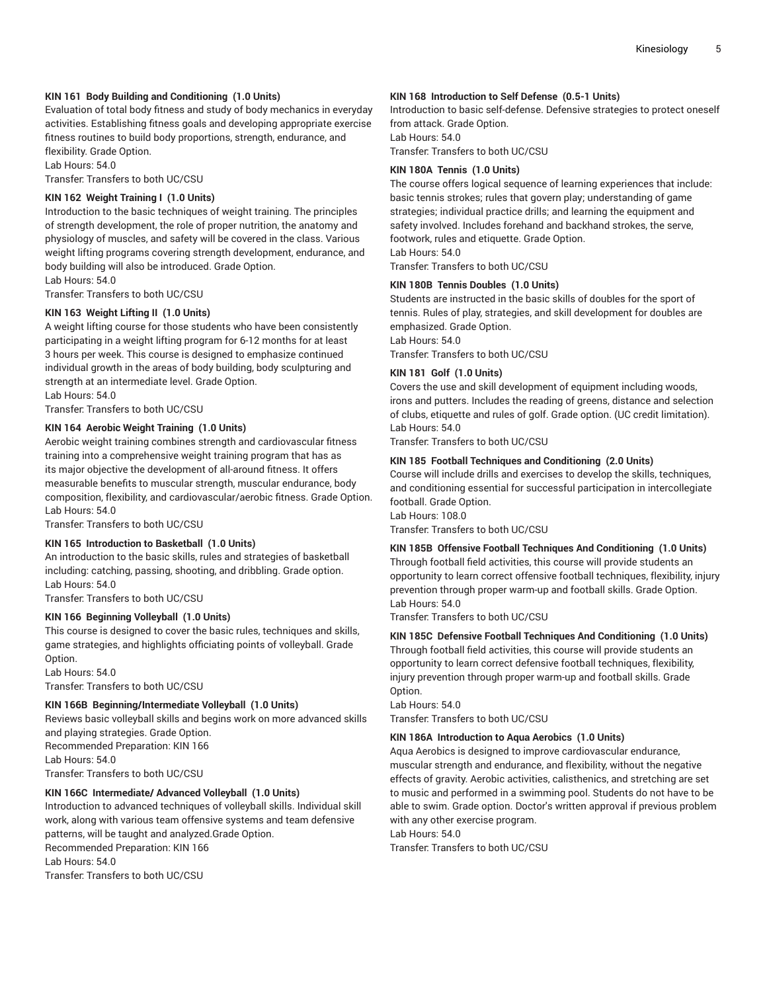# **KIN 161 Body Building and Conditioning (1.0 Units)**

Evaluation of total body fitness and study of body mechanics in everyday activities. Establishing fitness goals and developing appropriate exercise fitness routines to build body proportions, strength, endurance, and flexibility. Grade Option.

Lab Hours: 54.0

Transfer: Transfers to both UC/CSU

# **KIN 162 Weight Training I (1.0 Units)**

Introduction to the basic techniques of weight training. The principles of strength development, the role of proper nutrition, the anatomy and physiology of muscles, and safety will be covered in the class. Various weight lifting programs covering strength development, endurance, and body building will also be introduced. Grade Option. Lab Hours: 54.0

Transfer: Transfers to both UC/CSU

# **KIN 163 Weight Lifting II (1.0 Units)**

A weight lifting course for those students who have been consistently participating in a weight lifting program for 6-12 months for at least 3 hours per week. This course is designed to emphasize continued individual growth in the areas of body building, body sculpturing and strength at an intermediate level. Grade Option.

Lab Hours: 54.0

Transfer: Transfers to both UC/CSU

# **KIN 164 Aerobic Weight Training (1.0 Units)**

Aerobic weight training combines strength and cardiovascular fitness training into a comprehensive weight training program that has as its major objective the development of all-around fitness. It offers measurable benefits to muscular strength, muscular endurance, body composition, flexibility, and cardiovascular/aerobic fitness. Grade Option. Lab Hours: 54.0

Transfer: Transfers to both UC/CSU

# **KIN 165 Introduction to Basketball (1.0 Units)**

An introduction to the basic skills, rules and strategies of basketball including: catching, passing, shooting, and dribbling. Grade option. Lab Hours: 54.0

Transfer: Transfers to both UC/CSU

### **KIN 166 Beginning Volleyball (1.0 Units)**

This course is designed to cover the basic rules, techniques and skills, game strategies, and highlights officiating points of volleyball. Grade Option.

Lab Hours: 54.0 Transfer: Transfers to both UC/CSU

### **KIN 166B Beginning/Intermediate Volleyball (1.0 Units)**

Reviews basic volleyball skills and begins work on more advanced skills and playing strategies. Grade Option. Recommended Preparation: KIN 166 Lab Hours: 54.0

Transfer: Transfers to both UC/CSU

### **KIN 166C Intermediate/ Advanced Volleyball (1.0 Units)**

Introduction to advanced techniques of volleyball skills. Individual skill work, along with various team offensive systems and team defensive patterns, will be taught and analyzed.Grade Option. Recommended Preparation: KIN 166 Lab Hours: 54.0 Transfer: Transfers to both UC/CSU

### **KIN 168 Introduction to Self Defense (0.5-1 Units)**

Introduction to basic self-defense. Defensive strategies to protect oneself from attack. Grade Option. Lab Hours: 54.0

Transfer: Transfers to both UC/CSU

# **KIN 180A Tennis (1.0 Units)**

The course offers logical sequence of learning experiences that include: basic tennis strokes; rules that govern play; understanding of game strategies; individual practice drills; and learning the equipment and safety involved. Includes forehand and backhand strokes, the serve, footwork, rules and etiquette. Grade Option.

Lab Hours: 54.0

Transfer: Transfers to both UC/CSU

### **KIN 180B Tennis Doubles (1.0 Units)**

Students are instructed in the basic skills of doubles for the sport of tennis. Rules of play, strategies, and skill development for doubles are emphasized. Grade Option. Lab Hours: 54.0

Transfer: Transfers to both UC/CSU

# **KIN 181 Golf (1.0 Units)**

Covers the use and skill development of equipment including woods, irons and putters. Includes the reading of greens, distance and selection of clubs, etiquette and rules of golf. Grade option. (UC credit limitation). Lab Hours: 54.0

Transfer: Transfers to both UC/CSU

# **KIN 185 Football Techniques and Conditioning (2.0 Units)**

Course will include drills and exercises to develop the skills, techniques, and conditioning essential for successful participation in intercollegiate football. Grade Option.

Lab Hours: 108.0

Transfer: Transfers to both UC/CSU

### **KIN 185B Offensive Football Techniques And Conditioning (1.0 Units)** Through football field activities, this course will provide students an opportunity to learn correct offensive football techniques, flexibility, injury prevention through proper warm-up and football skills. Grade Option. Lab Hours: 54.0

Transfer: Transfers to both UC/CSU

# **KIN 185C Defensive Football Techniques And Conditioning (1.0 Units)**

Through football field activities, this course will provide students an opportunity to learn correct defensive football techniques, flexibility, injury prevention through proper warm-up and football skills. Grade Option.

Lab Hours: 54.0 Transfer: Transfers to both UC/CSU

# **KIN 186A Introduction to Aqua Aerobics (1.0 Units)**

Aqua Aerobics is designed to improve cardiovascular endurance, muscular strength and endurance, and flexibility, without the negative effects of gravity. Aerobic activities, calisthenics, and stretching are set to music and performed in a swimming pool. Students do not have to be able to swim. Grade option. Doctor's written approval if previous problem with any other exercise program.

Lab Hours: 54.0

Transfer: Transfers to both UC/CSU